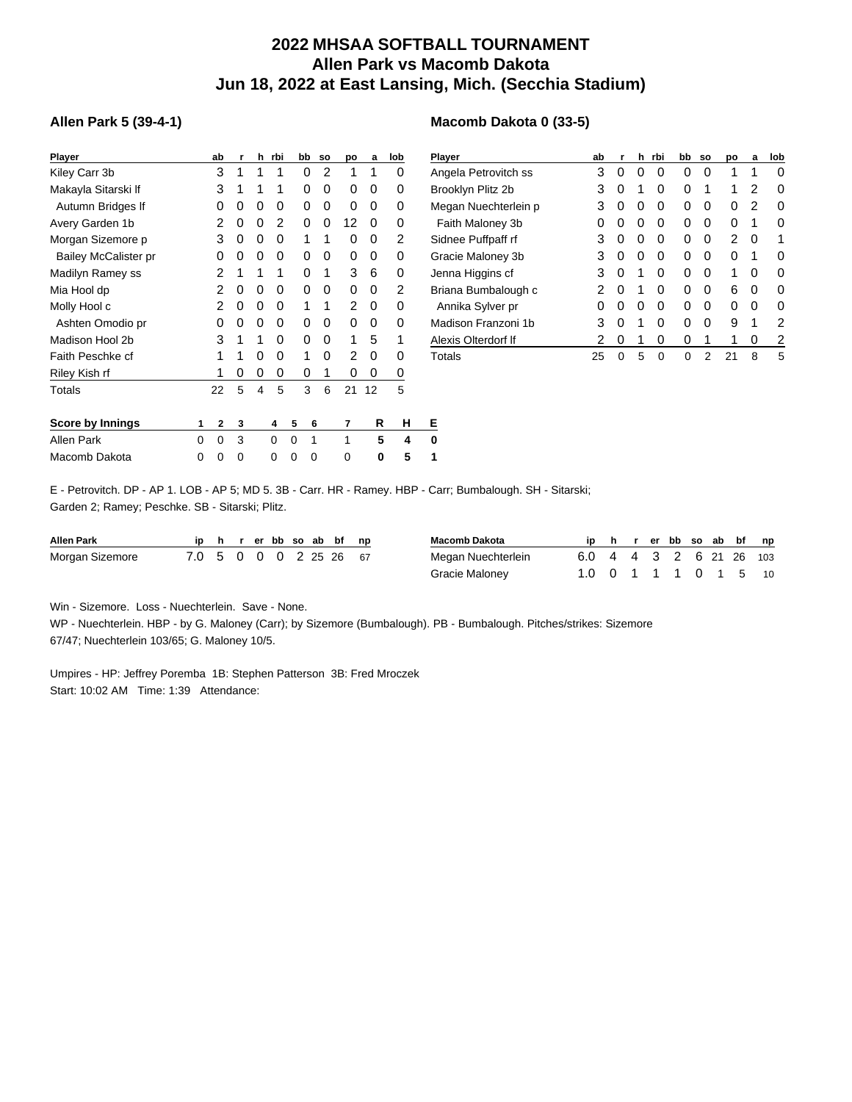## **2022 MHSAA SOFTBALL TOURNAMENT Allen Park vs Macomb Dakota Jun 18, 2022 at East Lansing, Mich. (Secchia Stadium)**

**Macomb Dakota 0 (33-5)**

## **Allen Park 5 (39-4-1)**

| <b>Player</b>               |   | ab          | r | h | rbi | bb | <b>SO</b> | po | a  | lob | P           |
|-----------------------------|---|-------------|---|---|-----|----|-----------|----|----|-----|-------------|
| Kiley Carr 3b               |   | 3           | 1 | 1 | 1   | 0  | 2         | 1  | 1  | 0   | Α           |
| Makayla Sitarski If         |   | 3           | 1 | 1 | 1   | 0  | 0         | 0  | 0  | 0   | в           |
| Autumn Bridges If           |   | 0           | 0 | 0 | 0   | 0  | 0         | 0  | 0  | 0   | N           |
| Avery Garden 1b             |   | 2           | 0 | 0 | 2   | 0  | 0         | 12 | 0  | 0   |             |
| Morgan Sizemore p           |   | 3           | 0 | 0 | 0   | 1  | 1         | 0  | 0  | 2   | S           |
| <b>Bailey McCalister pr</b> |   | 0           | 0 | 0 | 0   | 0  | 0         | 0  | 0  | 0   | G           |
| Madilyn Ramey ss            |   | 2           | 1 | 1 | 1   | 0  | 1         | 3  | 6  | 0   | J           |
| Mia Hool dp                 |   | 2           | 0 | 0 | 0   | 0  | 0         | 0  | 0  | 2   | в           |
| Molly Hool c                |   | 2           | 0 | 0 | 0   | 1  | 1         | 2  | 0  | 0   |             |
| Ashten Omodio pr            |   | 0           | 0 | 0 | 0   | 0  | 0         | 0  | 0  | 0   | N           |
| Madison Hool 2b             |   | 3           | 1 | 1 | 0   | 0  | 0         | 1  | 5  | 1   | $\triangle$ |
| Faith Peschke cf            |   | 1           | 1 | 0 | 0   | 1  | 0         | 2  | 0  | 0   | T           |
| Riley Kish rf               |   | 1           | 0 | 0 | 0   | 0  | 1         | 0  | 0  | 0   |             |
| Totals                      |   | 22          | 5 | 4 | 5   | 3  | 6         | 21 | 12 | 5   |             |
|                             |   |             |   |   |     |    |           |    |    |     |             |
| <b>Score by Innings</b>     | 1 | $\mathbf 2$ | 3 |   | 4   | 5  | 6         | 7  | R  | н   | Е           |
| <b>Allen Park</b>           | 0 | 0           | 3 |   | 0   | 0  | 1         | 1  | 5  | 4   | 0           |
| Macomb Dakota               | 0 | 0           | 0 |   | 0   | 0  | 0         | 0  | 0  | 5   | 1           |

| <b>Player</b>        | ab | r | h | rbi | bb | <b>SO</b> | po | a | lob |
|----------------------|----|---|---|-----|----|-----------|----|---|-----|
| Angela Petrovitch ss | 3  | 0 | 0 | 0   | 0  | 0         | 1  | 1 | 0   |
| Brooklyn Plitz 2b    | 3  | 0 | 1 | 0   | 0  | 1         | 1  | 2 | 0   |
| Megan Nuechterlein p | 3  | 0 | 0 | Ω   | 0  | 0         | 0  | 2 | 0   |
| Faith Maloney 3b     | O) | 0 | 0 | Ω   | 0  | 0         | 0  | 1 | 0   |
| Sidnee Puffpaff rf   | 3  | 0 | 0 | Ω   | 0  | 0         | 2  | 0 | 1   |
| Gracie Maloney 3b    | 3  | 0 | 0 | Ω   | 0  | 0         | 0  | 1 | 0   |
| Jenna Higgins cf     | 3  | 0 | 1 | Ω   | 0  | O         | 1  | 0 | 0   |
| Briana Bumbalough c  | 2  | 0 | 1 | Ω   | 0  | ∩         | 6  | 0 | O   |
| Annika Sylver pr     | O  | 0 | 0 | 0   | 0  | ∩         | 0  | 0 | O   |
| Madison Franzoni 1b  | 3  | 0 | 1 | 0   | 0  | ∩         | 9  | 1 | 2   |
| Alexis Olterdorf If  | 2  | 0 | 1 | 0   | 0  | 1         | 1  | 0 | 2   |
| Totals               | 25 | 0 | 5 | 0   | 0  | 2         | 21 | 8 | 5   |

E - Petrovitch. DP - AP 1. LOB - AP 5; MD 5. 3B - Carr. HR - Ramey. HBP - Carr; Bumbalough. SH - Sitarski; Garden 2; Ramey; Peschke. SB - Sitarski; Plitz.

| <b>Allen Park</b> |                        |  |  |  | ip h r er bb so ab bf np | Macomb Dakota      | ip h                    |  |  |  | r er bb so ab bf np |  |
|-------------------|------------------------|--|--|--|--------------------------|--------------------|-------------------------|--|--|--|---------------------|--|
| Morgan Sizemore   | 7.0 5 0 0 0 2 25 26 67 |  |  |  |                          | Megan Nuechterlein | 6.0 4 4 3 2 6 21 26 103 |  |  |  |                     |  |
|                   |                        |  |  |  |                          | Gracie Maloney     | 1.0 0 1 1 1 0 1 5 10    |  |  |  |                     |  |

Win - Sizemore. Loss - Nuechterlein. Save - None.

WP - Nuechterlein. HBP - by G. Maloney (Carr); by Sizemore (Bumbalough). PB - Bumbalough. Pitches/strikes: Sizemore 67/47; Nuechterlein 103/65; G. Maloney 10/5.

Umpires - HP: Jeffrey Poremba 1B: Stephen Patterson 3B: Fred Mroczek Start: 10:02 AM Time: 1:39 Attendance: